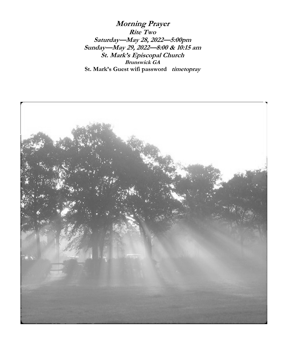**Morning Prayer Rite Two Saturday—May 28, 2022—5:00pm Sunday—May 29, 2022—8:00 & 10:15 am St. Mark's Episcopal Church Brunswick GA St. Mark's Guest wifi password timetopray**

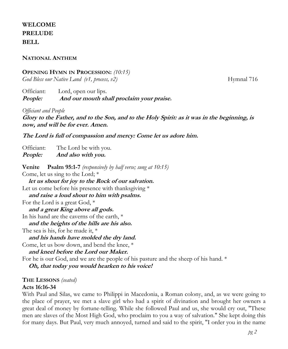# **WELCOME PRELUDE BELL**

## **NATIONAL ANTHEM**

## **OPENING HYMN IN PROCESSION:** *(10:15)*

*God Bless our Native Land* (*v1, process, v2*) Hymnal 716

Officiant: Lord, open our lips. **People: And our mouth shall proclaim your praise.**

*Officiant and People*

**Glory to the Father, and to the Son, and to the Holy Spirit: as it was in the beginning, is now, and will be for ever. Amen.**

**The Lord is full of compassion and mercy: Come let us adore him.**

Officiant: The Lord be with you. **People: And also with you.**

**Venite Psalm 95:1-7** *(responsively by half verse; sung at 10:15)* Come, let us sing to the Lord; \* **let us shout for joy to the Rock of our salvation.**  Let us come before his presence with thanksgiving  $*$  **and raise a loud shout to him with psalms.**  For the Lord is a great God, \* **and a great King above all gods.**  In his hand are the caverns of the earth, \* **and the heights of the hills are his also.**  The sea is his, for he made it, \* **and his hands have molded the dry land.** Come, let us bow down, and bend the knee, \* **and kneel before the Lord our Maker.**  For he is our God, and we are the people of his pasture and the sheep of his hand. \*  **Oh, that today you would hearken to his voice!**

**THE LESSONS** *(seated)*

### **Acts 16:16-34**

With Paul and Silas, we came to Philippi in Macedonia, a Roman colony, and, as we were going to the place of prayer, we met a slave girl who had a spirit of divination and brought her owners a great deal of money by fortune-telling. While she followed Paul and us, she would cry out, "These men are slaves of the Most High God, who proclaim to you a way of salvation." She kept doing this for many days. But Paul, very much annoyed, turned and said to the spirit, "I order you in the name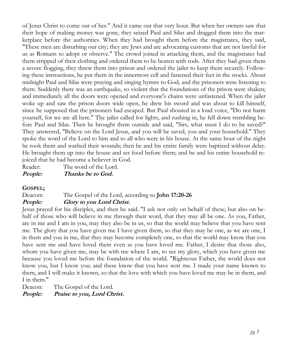of Jesus Christ to come out of her." And it came out that very hour. But when her owners saw that their hope of making money was gone, they seized Paul and Silas and dragged them into the marketplace before the authorities. When they had brought them before the magistrates, they said, "These men are disturbing our city; they are Jews and are advocating customs that are not lawful for us as Romans to adopt or observe." The crowd joined in attacking them, and the magistrates had them stripped of their clothing and ordered them to be beaten with rods. After they had given them a severe flogging, they threw them into prison and ordered the jailer to keep them securely. Following these instructions, he put them in the innermost cell and fastened their feet in the stocks. About midnight Paul and Silas were praying and singing hymns to God, and the prisoners were listening to them. Suddenly there was an earthquake, so violent that the foundations of the prison were shaken; and immediately all the doors were opened and everyone's chains were unfastened. When the jailer woke up and saw the prison doors wide open, he drew his sword and was about to kill himself, since he supposed that the prisoners had escaped. But Paul shouted in a loud voice, "Do not harm yourself, for we are all here." The jailer called for lights, and rushing in, he fell down trembling before Paul and Silas. Then he brought them outside and said, "Sirs, what must I do to be saved?" They answered, "Believe on the Lord Jesus, and you will be saved, you and your household." They spoke the word of the Lord to him and to all who were in his house. At the same hour of the night he took them and washed their wounds; then he and his entire family were baptized without delay. He brought them up into the house and set food before them; and he and his entire household rejoiced that he had become a believer in God.

Reader: The word of the Lord. **People: Thanks be to God.**

## **GOSPEL;**

### Deacon**:** The Gospel of the Lord, according to **John 17:20-26 People: Glory to you Lord Christ.**

Jesus prayed for his disciples, and then he said. "I ask not only on behalf of these, but also on behalf of those who will believe in me through their word, that they may all be one. As you, Father, are in me and I am in you, may they also be in us, so that the world may believe that you have sent me. The glory that you have given me I have given them, so that they may be one, as we are one, I in them and you in me, that they may become completely one, so that the world may know that you have sent me and have loved them even as you have loved me. Father, I desire that those also, whom you have given me, may be with me where I am, to see my glory, which you have given me because you loved me before the foundation of the world. "Righteous Father, the world does not know you, but I know you; and these know that you have sent me. I made your name known to them, and I will make it known, so that the love with which you have loved me may be in them, and I in them."

Deacon: The Gospel of the Lord.

**People: Praise to you, Lord Christ.**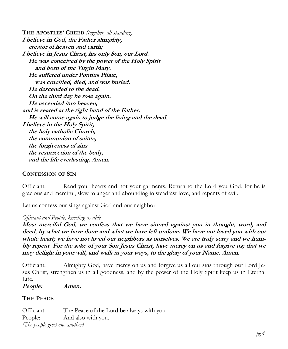**THE APOSTLES' CREED** *(together, all standing)* **I believe in God, the Father almighty, creator of heaven and earth; I believe in Jesus Christ, his only Son, our Lord. He was conceived by the power of the Holy Spirit and born of the Virgin Mary. He suffered under Pontius Pilate, was crucified, died, and was buried. He descended to the dead. On the third day he rose again. He ascended into heaven, and is seated at the right hand of the Father. He will come again to judge the living and the dead. I believe in the Holy Spirit, the holy catholic Church, the communion of saints, the forgiveness of sins the resurrection of the body, and the life everlasting. Amen.**

### **CONFESSION OF SIN**

Officiant: Rend your hearts and not your garments. Return to the Lord you God, for he is gracious and merciful, slow to anger and abounding in steadfast love, and repents of evil.

Let us confess our sings against God and our neighbor.

### *Officiant and People, kneeling as able*

**Most merciful God, we confess that we have sinned against you in thought, word, and deed, by what we have done and what we have left undone. We have not loved you with our whole heart; we have not loved our neighbors as ourselves. We are truly sorry and we humbly repent. For the sake of your Son Jesus Christ, have mercy on us and forgive us; that we may delight in your will, and walk in your ways, to the glory of your Name. Amen.**

Officiant: Almighty God, have mercy on us and forgive us all our sins through our Lord Jesus Christ, strengthen us in all goodness, and by the power of the Holy Spirit keep us in Eternal Life.

**People: Amen.**

### **THE PEACE**

Officiant: The Peace of the Lord be always with you. People: And also with you. *(The people greet one another)*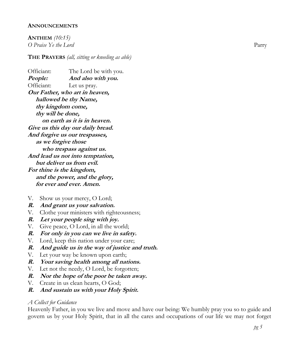### **ANNOUNCEMENTS**

**ANTHEM** *(10:15) O Praise Ye the Lord* Parry

**THE PRAYERS** *(all, sitting or kneeling as able)*

Officiant: The Lord be with you. **People: And also with you.** Officiant: Let us pray. **Our Father, who art in heaven, hallowed be thy Name, thy kingdom come, thy will be done, on earth as it is in heaven. Give us this day our daily bread. And forgive us our trespasses, as we forgive those who trespass against us. And lead us not into temptation, but deliver us from evil. For thine is the kingdom, and the power, and the glory, for ever and ever. Amen.** 

V. Show us your mercy, O Lord;

**R. And grant us your salvation.** 

- V. Clothe your ministers with righteousness;
- **R. Let your people sing with joy.**
- V. Give peace, O Lord, in all the world;
- **R. For only in you can we live in safety.**
- V. Lord, keep this nation under your care;
- **R. And guide us in the way of justice and truth.**
- V. Let your way be known upon earth;
- **R. Your saving health among all nations.**
- V. Let not the needy, O Lord, be forgotten;
- **R. Nor the hope of the poor be taken away.**
- V. Create in us clean hearts, O God;
- **R. And sustain us with your Holy Spirit.**

#### *A Collect for Guidance*

Heavenly Father, in you we live and move and have our being: We humbly pray you so to guide and govern us by your Holy Spirit, that in all the cares and occupations of our life we may not forget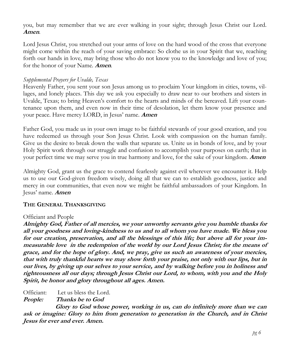you, but may remember that we are ever walking in your sight; through Jesus Christ our Lord. **Amen**.

Lord Jesus Christ, you stretched out your arms of love on the hard wood of the cross that everyone might come within the reach of your saving embrace: So clothe us in your Spirit that we, reaching forth our hands in love, may bring those who do not know you to the knowledge and love of you; for the honor of your Name. **Amen**.

## *Supplemental Prayers for Uvalde, Texas*

Heavenly Father, you sent your son Jesus among us to proclaim Your kingdom in cities, towns, villages, and lonely places. This day we ask you especially to draw near to our brothers and sisters in Uvalde, Texas; to bring Heaven's comfort to the hearts and minds of the bereaved. Lift your countenance upon them, and even now in their time of desolation, let them know your presence and your peace. Have mercy LORD, in Jesus' name. **Amen**

Father God, you made us in your own image to be faithful stewards of your good creation, and you have redeemed us through your Son Jesus Christ. Look with compassion on the human family. Give us the desire to break down the walls that separate us. Unite us in bonds of love, and by your Holy Spirit work through our struggle and confusion to accomplish your purposes on earth; that in your perfect time we may serve you in true harmony and love, for the sake of your kingdom. **Amen**

Almighty God, grant us the grace to contend fearlessly against evil wherever we encounter it. Help us to use our God-given freedom wisely, doing all that we can to establish goodness, justice and mercy in our communities, that even now we might be faithful ambassadors of your Kingdom. In Jesus' name. **Amen**

## **THE GENERAL THANKSGIVING**

### Officiant and People

**Almighty God, Father of all mercies, we your unworthy servants give you humble thanks for all your goodness and loving-kindness to us and to all whom you have made. We bless you for our creation, preservation, and all the blessings of this life; but above all for your immeasurable love in the redemption of the world by our Lord Jesus Christ; for the means of grace, and for the hope of glory. And, we pray, give us such an awareness of your mercies, that with truly thankful hearts we may show forth your praise, not only with our lips, but in our lives, by giving up our selves to your service, and by walking before you in holiness and righteousness all our days; through Jesus Christ our Lord, to whom, with you and the Holy Spirit, be honor and glory throughout all ages. Amen.**

Officiant: Let us bless the Lord.

**People: Thanks be to God**

 **Glory to God whose power, working in us, can do infinitely more than we can ask or imagine: Glory to him from generation to generation in the Church, and in Christ Jesus for ever and ever. Amen.**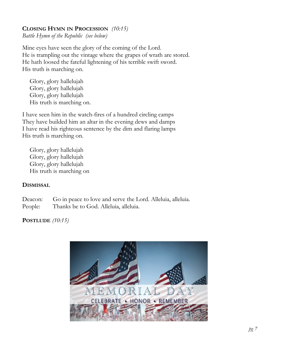## **CLOSING HYMN IN PROCESSION** *(10:15)*

*Battle Hymn of the Republic (see below)*

Mine eyes have seen the glory of the coming of the Lord. He is trampling out the vintage where the grapes of wrath are stored. He hath loosed the fateful lightening of his terrible swift sword. His truth is marching on.

Glory, glory hallelujah Glory, glory hallelujah Glory, glory hallelujah His truth is marching on.

I have seen him in the watch-fires of a hundred circling camps They have builded him an altar in the evening dews and damps I have read his righteous sentence by the dim and flaring lamps His truth is marching on.

Glory, glory hallelujah Glory, glory hallelujah Glory, glory hallelujah His truth is marching on

### **DISMISSAL**

Deacon: Go in peace to love and serve the Lord. Alleluia, alleluia. People: Thanks be to God. Alleluia, alleluia.

## **POSTLUDE** *(10:15)*